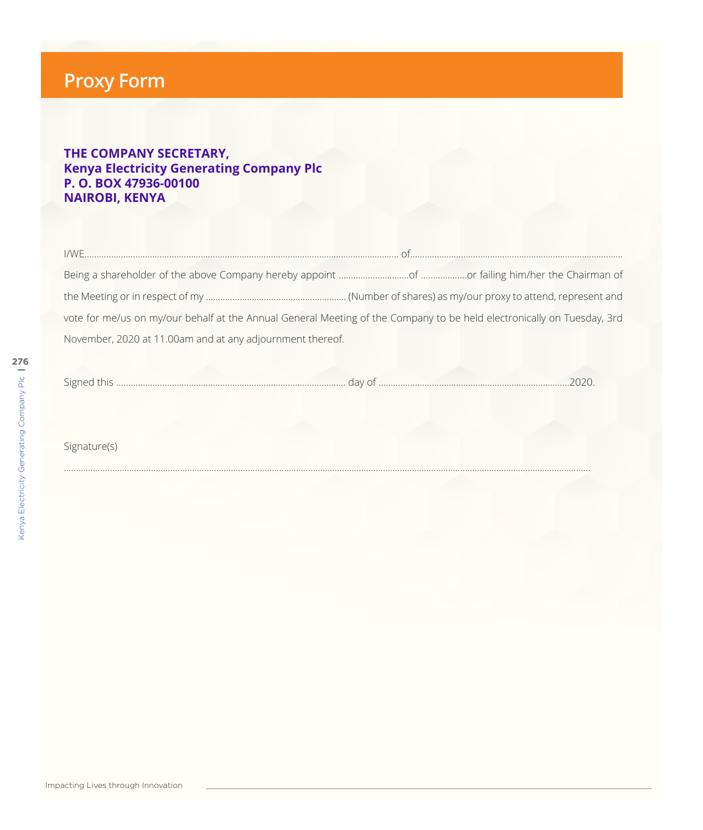## **Proxy Form**

## **THE COMPANY SECRETARY, Kenya Electricity Generating Company Plc P. O. BOX 47936-00100 NAIROBI, KENYA**

|                                                           | vote for me/us on my/our behalf at the Annual General Meeting of the Company to be held electronically on Tuesday, 3rd |
|-----------------------------------------------------------|------------------------------------------------------------------------------------------------------------------------|
| November, 2020 at 11.00am and at any adjournment thereof. |                                                                                                                        |

| ' ≤اد. | $\overline{1111}$ |  |
|--------|-------------------|--|
|        |                   |  |

……………………………………………………………………............................................................................................................................................

Signature(s)